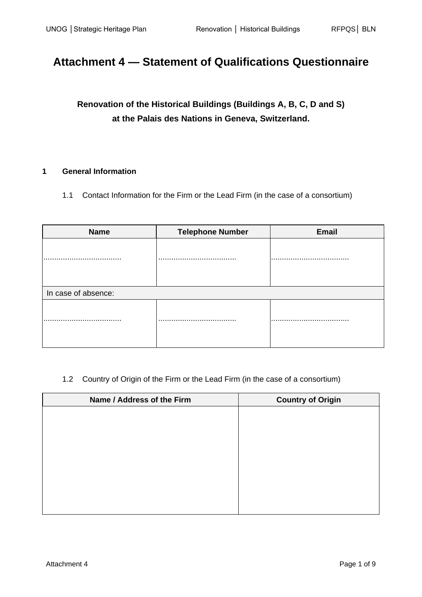# **Attachment 4 — Statement of Qualifications Questionnaire**

**Renovation of the Historical Buildings (Buildings A, B, C, D and S) at the Palais des Nations in Geneva, Switzerland.**

## **1 General Information**

1.1 Contact Information for the Firm or the Lead Firm (in the case of a consortium)

| <b>Name</b>         | <b>Telephone Number</b> | <b>Email</b> |
|---------------------|-------------------------|--------------|
|                     |                         |              |
|                     | . .                     |              |
|                     |                         |              |
|                     |                         |              |
| In case of absence: |                         |              |
|                     |                         |              |
|                     |                         |              |
|                     |                         |              |
|                     |                         |              |

## 1.2 Country of Origin of the Firm or the Lead Firm (in the case of a consortium)

| Name / Address of the Firm | <b>Country of Origin</b> |
|----------------------------|--------------------------|
|                            |                          |
|                            |                          |
|                            |                          |
|                            |                          |
|                            |                          |
|                            |                          |
|                            |                          |
|                            |                          |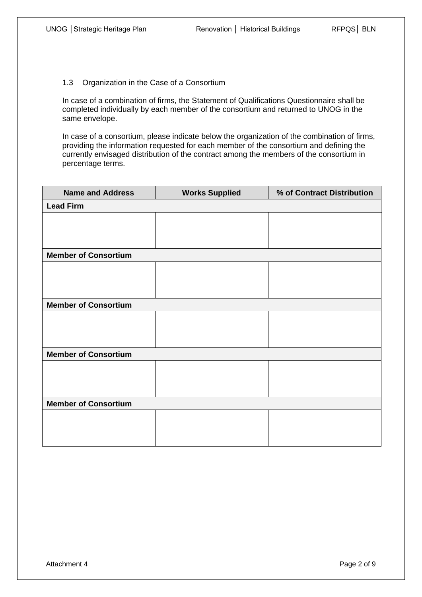1.3 Organization in the Case of a Consortium

In case of a combination of firms, the Statement of Qualifications Questionnaire shall be completed individually by each member of the consortium and returned to UNOG in the same envelope.

In case of a consortium, please indicate below the organization of the combination of firms, providing the information requested for each member of the consortium and defining the currently envisaged distribution of the contract among the members of the consortium in percentage terms.

| <b>Name and Address</b>     | <b>Works Supplied</b> | % of Contract Distribution |
|-----------------------------|-----------------------|----------------------------|
| <b>Lead Firm</b>            |                       |                            |
|                             |                       |                            |
|                             |                       |                            |
|                             |                       |                            |
| <b>Member of Consortium</b> |                       |                            |
|                             |                       |                            |
|                             |                       |                            |
|                             |                       |                            |
| <b>Member of Consortium</b> |                       |                            |
|                             |                       |                            |
|                             |                       |                            |
|                             |                       |                            |
| <b>Member of Consortium</b> |                       |                            |
|                             |                       |                            |
|                             |                       |                            |
|                             |                       |                            |
| <b>Member of Consortium</b> |                       |                            |
|                             |                       |                            |
|                             |                       |                            |
|                             |                       |                            |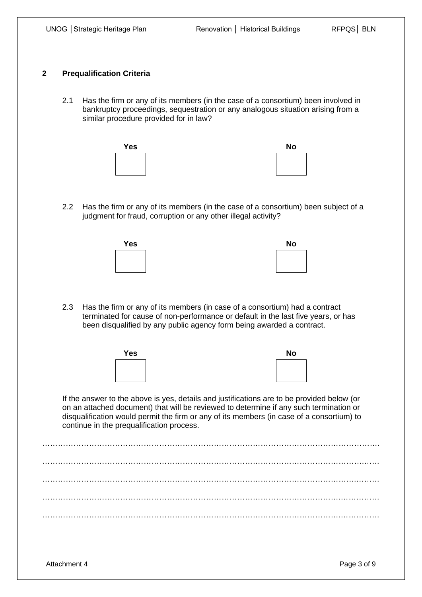#### **2 Prequalification Criteria**

2.1 Has the firm or any of its members (in the case of a consortium) been involved in bankruptcy proceedings, sequestration or any analogous situation arising from a similar procedure provided for in law?



2.2 Has the firm or any of its members (in the case of a consortium) been subject of a judgment for fraud, corruption or any other illegal activity?



2.3 Has the firm or any of its members (in case of a consortium) had a contract terminated for cause of non-performance or default in the last five years, or has been disqualified by any public agency form being awarded a contract.



If the answer to the above is yes, details and justifications are to be provided below (or on an attached document) that will be reviewed to determine if any such termination or disqualification would permit the firm or any of its members (in case of a consortium) to continue in the prequalification process.

…………………………………………………………………………………………………………………. …………………………………………………………………………………………………………….…… ………………………………………………………………………………………………………….……… . The contract of the contract of the contract of the contract of the contract of the contract of the contract of the contract of the contract of the contract of the contract of the contract of the contract of the contrac …………………………………………………………………………………………………….……………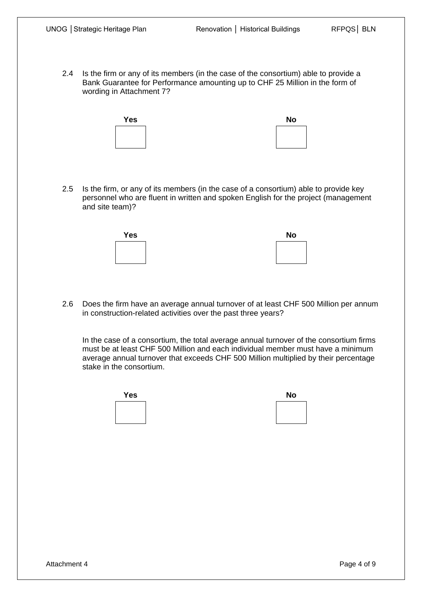2.4 Is the firm or any of its members (in the case of the consortium) able to provide a Bank Guarantee for Performance amounting up to CHF 25 Million in the form of wording in Attachment 7?

| <b>Yes</b> | <b>No</b> |
|------------|-----------|
|            |           |
|            |           |

2.5 Is the firm, or any of its members (in the case of a consortium) able to provide key personnel who are fluent in written and spoken English for the project (management and site team)?



2.6 Does the firm have an average annual turnover of at least CHF 500 Million per annum in construction-related activities over the past three years?

In the case of a consortium, the total average annual turnover of the consortium firms must be at least CHF 500 Million and each individual member must have a minimum average annual turnover that exceeds CHF 500 Million multiplied by their percentage stake in the consortium.



| NO |  |
|----|--|
|    |  |
|    |  |
|    |  |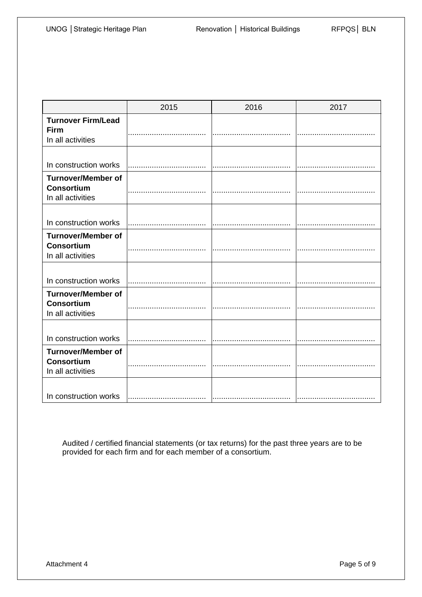|                                                                     | 2015 | 2016 | 2017 |
|---------------------------------------------------------------------|------|------|------|
| <b>Turnover Firm/Lead</b><br><b>Firm</b><br>In all activities       |      |      |      |
| In construction works                                               |      |      |      |
| <b>Turnover/Member of</b><br><b>Consortium</b><br>In all activities |      |      |      |
| In construction works                                               |      |      |      |
| <b>Turnover/Member of</b><br><b>Consortium</b><br>In all activities |      |      |      |
| In construction works                                               |      |      |      |
| <b>Turnover/Member of</b><br><b>Consortium</b><br>In all activities |      |      |      |
| In construction works                                               |      |      |      |
| <b>Turnover/Member of</b><br><b>Consortium</b><br>In all activities |      |      |      |
| In construction works                                               |      |      |      |

Audited / certified financial statements (or tax returns) for the past three years are to be provided for each firm and for each member of a consortium.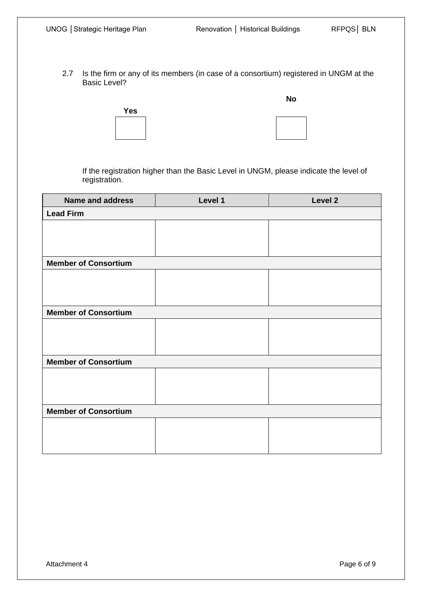2.7 Is the firm or any of its members (in case of a consortium) registered in UNGM at the Basic Level?



**No**

If the registration higher than the Basic Level in UNGM, please indicate the level of registration.

| <b>Name and address</b>     | Level 1 | Level 2 |  |  |  |
|-----------------------------|---------|---------|--|--|--|
| <b>Lead Firm</b>            |         |         |  |  |  |
|                             |         |         |  |  |  |
|                             |         |         |  |  |  |
|                             |         |         |  |  |  |
| <b>Member of Consortium</b> |         |         |  |  |  |
|                             |         |         |  |  |  |
|                             |         |         |  |  |  |
|                             |         |         |  |  |  |
| <b>Member of Consortium</b> |         |         |  |  |  |
|                             |         |         |  |  |  |
|                             |         |         |  |  |  |
|                             |         |         |  |  |  |
| <b>Member of Consortium</b> |         |         |  |  |  |
|                             |         |         |  |  |  |
|                             |         |         |  |  |  |
|                             |         |         |  |  |  |
| <b>Member of Consortium</b> |         |         |  |  |  |
|                             |         |         |  |  |  |
|                             |         |         |  |  |  |
|                             |         |         |  |  |  |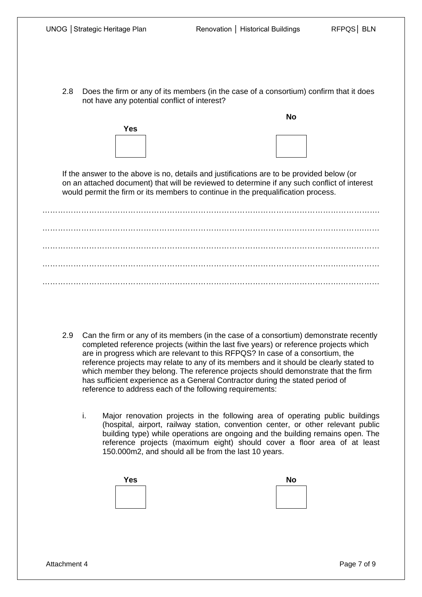2.8 Does the firm or any of its members (in the case of a consortium) confirm that it does not have any potential conflict of interest?



**No**

If the answer to the above is no, details and justifications are to be provided below (or on an attached document) that will be reviewed to determine if any such conflict of interest would permit the firm or its members to continue in the prequalification process.

…………………………………………………………………………………………………………………. …………………………………………………………………………………………………………….…… ………………………………………………………………………………………………………….……… …………………………………………………………………………………………………….…………… …………………………………………………………………………………………………….……………

- 2.9 Can the firm or any of its members (in the case of a consortium) demonstrate recently completed reference projects (within the last five years) or reference projects which are in progress which are relevant to this RFPQS? In case of a consortium, the reference projects may relate to any of its members and it should be clearly stated to which member they belong. The reference projects should demonstrate that the firm has sufficient experience as a General Contractor during the stated period of reference to address each of the following requirements:
	- i. Major renovation projects in the following area of operating public buildings (hospital, airport, railway station, convention center, or other relevant public building type) while operations are ongoing and the building remains open. The reference projects (maximum eight) should cover a floor area of at least 150.000m2, and should all be from the last 10 years.

| <b>Yes</b> | <b>No</b> |
|------------|-----------|
|            |           |
|            |           |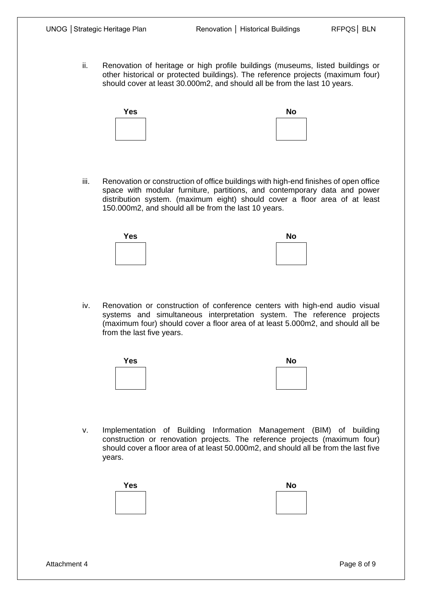ii. Renovation of heritage or high profile buildings (museums, listed buildings or other historical or protected buildings). The reference projects (maximum four) should cover at least 30.000m2, and should all be from the last 10 years.



iii. Renovation or construction of office buildings with high-end finishes of open office space with modular furniture, partitions, and contemporary data and power distribution system. (maximum eight) should cover a floor area of at least 150.000m2, and should all be from the last 10 years.



iv. Renovation or construction of conference centers with high-end audio visual systems and simultaneous interpretation system. The reference projects (maximum four) should cover a floor area of at least 5.000m2, and should all be from the last five years.



v. Implementation of Building Information Management (BIM) of building construction or renovation projects. The reference projects (maximum four) should cover a floor area of at least 50.000m2, and should all be from the last five years.